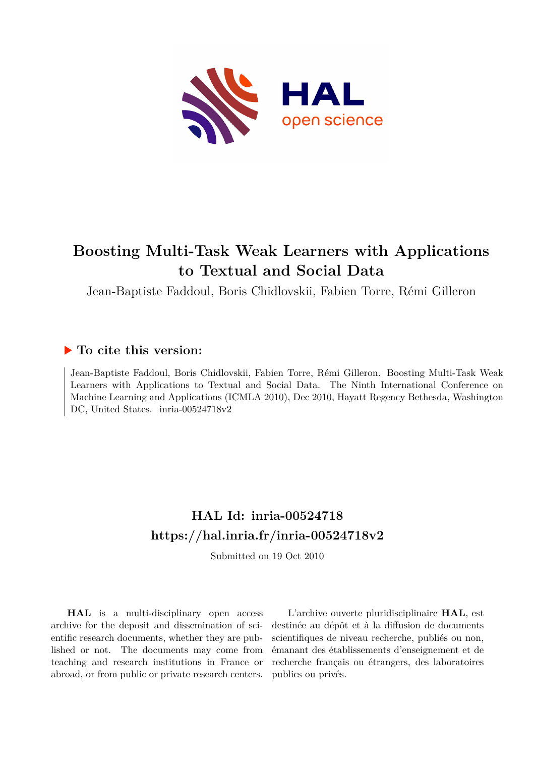

## **Boosting Multi-Task Weak Learners with Applications to Textual and Social Data**

Jean-Baptiste Faddoul, Boris Chidlovskii, Fabien Torre, Rémi Gilleron

### **To cite this version:**

Jean-Baptiste Faddoul, Boris Chidlovskii, Fabien Torre, Rémi Gilleron. Boosting Multi-Task Weak Learners with Applications to Textual and Social Data. The Ninth International Conference on Machine Learning and Applications (ICMLA 2010), Dec 2010, Hayatt Regency Bethesda, Washington DC, United States.  $inria-00524718v2$ 

## **HAL Id: inria-00524718 <https://hal.inria.fr/inria-00524718v2>**

Submitted on 19 Oct 2010

**HAL** is a multi-disciplinary open access archive for the deposit and dissemination of scientific research documents, whether they are published or not. The documents may come from teaching and research institutions in France or abroad, or from public or private research centers.

L'archive ouverte pluridisciplinaire **HAL**, est destinée au dépôt et à la diffusion de documents scientifiques de niveau recherche, publiés ou non, émanant des établissements d'enseignement et de recherche français ou étrangers, des laboratoires publics ou privés.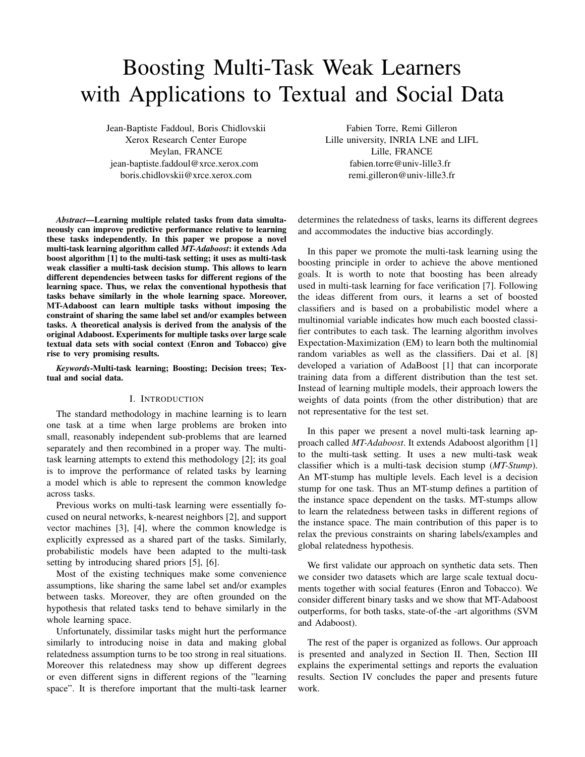# Boosting Multi-Task Weak Learners with Applications to Textual and Social Data

Jean-Baptiste Faddoul, Boris Chidlovskii Xerox Research Center Europe Meylan, FRANCE jean-baptiste.faddoul@xrce.xerox.com boris.chidlovskii@xrce.xerox.com

*Abstract*—Learning multiple related tasks from data simultaneously can improve predictive performance relative to learning these tasks independently. In this paper we propose a novel multi-task learning algorithm called *MT-Adaboost*: it extends Ada boost algorithm [1] to the multi-task setting; it uses as multi-task weak classifier a multi-task decision stump. This allows to learn different dependencies between tasks for different regions of the learning space. Thus, we relax the conventional hypothesis that tasks behave similarly in the whole learning space. Moreover, MT-Adaboost can learn multiple tasks without imposing the constraint of sharing the same label set and/or examples between tasks. A theoretical analysis is derived from the analysis of the original Adaboost. Experiments for multiple tasks over large scale textual data sets with social context (Enron and Tobacco) give rise to very promising results.

*Keywords*-Multi-task learning; Boosting; Decision trees; Textual and social data.

#### I. INTRODUCTION

The standard methodology in machine learning is to learn one task at a time when large problems are broken into small, reasonably independent sub-problems that are learned separately and then recombined in a proper way. The multitask learning attempts to extend this methodology [2]; its goal is to improve the performance of related tasks by learning a model which is able to represent the common knowledge across tasks.

Previous works on multi-task learning were essentially focused on neural networks, k-nearest neighbors [2], and support vector machines [3], [4], where the common knowledge is explicitly expressed as a shared part of the tasks. Similarly, probabilistic models have been adapted to the multi-task setting by introducing shared priors [5], [6].

Most of the existing techniques make some convenience assumptions, like sharing the same label set and/or examples between tasks. Moreover, they are often grounded on the hypothesis that related tasks tend to behave similarly in the whole learning space.

Unfortunately, dissimilar tasks might hurt the performance similarly to introducing noise in data and making global relatedness assumption turns to be too strong in real situations. Moreover this relatedness may show up different degrees or even different signs in different regions of the "learning space". It is therefore important that the multi-task learner

Fabien Torre, Remi Gilleron Lille university, INRIA LNE and LIFL Lille, FRANCE fabien.torre@univ-lille3.fr remi.gilleron@univ-lille3.fr

determines the relatedness of tasks, learns its different degrees and accommodates the inductive bias accordingly.

In this paper we promote the multi-task learning using the boosting principle in order to achieve the above mentioned goals. It is worth to note that boosting has been already used in multi-task learning for face verification [7]. Following the ideas different from ours, it learns a set of boosted classifiers and is based on a probabilistic model where a multinomial variable indicates how much each boosted classifier contributes to each task. The learning algorithm involves Expectation-Maximization (EM) to learn both the multinomial random variables as well as the classifiers. Dai et al. [8] developed a variation of AdaBoost [1] that can incorporate training data from a different distribution than the test set. Instead of learning multiple models, their approach lowers the weights of data points (from the other distribution) that are not representative for the test set.

In this paper we present a novel multi-task learning approach called *MT-Adaboost*. It extends Adaboost algorithm [1] to the multi-task setting. It uses a new multi-task weak classifier which is a multi-task decision stump (*MT-Stump*). An MT-stump has multiple levels. Each level is a decision stump for one task. Thus an MT-stump defines a partition of the instance space dependent on the tasks. MT-stumps allow to learn the relatedness between tasks in different regions of the instance space. The main contribution of this paper is to relax the previous constraints on sharing labels/examples and global relatedness hypothesis.

We first validate our approach on synthetic data sets. Then we consider two datasets which are large scale textual documents together with social features (Enron and Tobacco). We consider different binary tasks and we show that MT-Adaboost outperforms, for both tasks, state-of-the -art algorithms (SVM and Adaboost).

The rest of the paper is organized as follows. Our approach is presented and analyzed in Section II. Then, Section III explains the experimental settings and reports the evaluation results. Section IV concludes the paper and presents future work.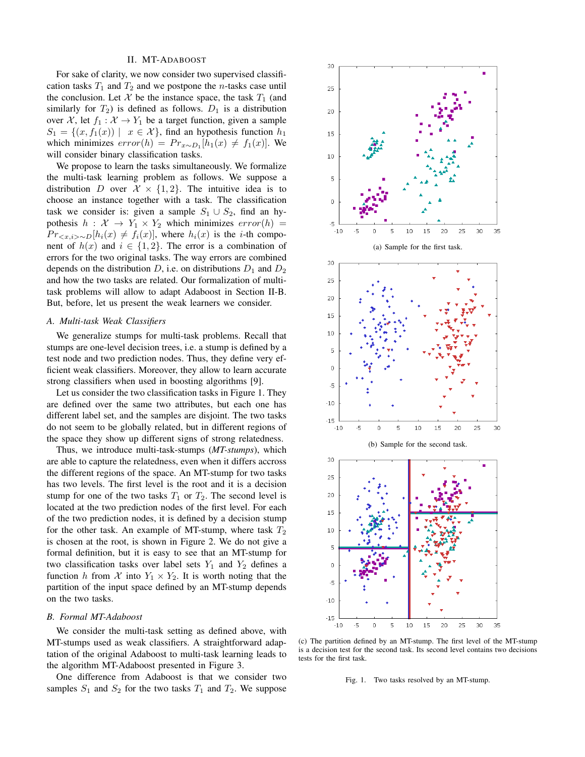#### II. MT-ADABOOST

For sake of clarity, we now consider two supervised classification tasks  $T_1$  and  $T_2$  and we postpone the *n*-tasks case until the conclusion. Let X be the instance space, the task  $T_1$  (and similarly for  $T_2$ ) is defined as follows.  $D_1$  is a distribution over X, let  $f_1 : X \to Y_1$  be a target function, given a sample  $S_1 = \{(x, f_1(x)) \mid x \in \mathcal{X}\}\$ , find an hypothesis function  $h_1$ which minimizes  $error(h) = Pr_{x \sim D_1}[h_1(x) \neq f_1(x)]$ . We will consider binary classification tasks.

We propose to learn the tasks simultaneously. We formalize the multi-task learning problem as follows. We suppose a distribution D over  $\mathcal{X} \times \{1,2\}$ . The intuitive idea is to choose an instance together with a task. The classification task we consider is: given a sample  $S_1 \cup S_2$ , find an hypothesis  $h : \mathcal{X} \to Y_1 \times Y_2$  which minimizes  $error(h) =$  $Pr_{\langle x,i\rangle\sim D}[h_i(x) \neq f_i(x)]$ , where  $h_i(x)$  is the *i*-th component of  $h(x)$  and  $i \in \{1,2\}$ . The error is a combination of errors for the two original tasks. The way errors are combined depends on the distribution D, i.e. on distributions  $D_1$  and  $D_2$ and how the two tasks are related. Our formalization of multitask problems will allow to adapt Adaboost in Section II-B. But, before, let us present the weak learners we consider.

#### *A. Multi-task Weak Classifiers*

We generalize stumps for multi-task problems. Recall that stumps are one-level decision trees, i.e. a stump is defined by a test node and two prediction nodes. Thus, they define very efficient weak classifiers. Moreover, they allow to learn accurate strong classifiers when used in boosting algorithms [9].

Let us consider the two classification tasks in Figure 1. They are defined over the same two attributes, but each one has different label set, and the samples are disjoint. The two tasks do not seem to be globally related, but in different regions of the space they show up different signs of strong relatedness.

Thus, we introduce multi-task-stumps (*MT-stumps*), which are able to capture the relatedness, even when it differs accross the different regions of the space. An MT-stump for two tasks has two levels. The first level is the root and it is a decision stump for one of the two tasks  $T_1$  or  $T_2$ . The second level is located at the two prediction nodes of the first level. For each of the two prediction nodes, it is defined by a decision stump for the other task. An example of MT-stump, where task  $T_2$ is chosen at the root, is shown in Figure 2. We do not give a formal definition, but it is easy to see that an MT-stump for two classification tasks over label sets  $Y_1$  and  $Y_2$  defines a function h from X into  $Y_1 \times Y_2$ . It is worth noting that the partition of the input space defined by an MT-stump depends on the two tasks.

#### *B. Formal MT-Adaboost*

We consider the multi-task setting as defined above, with MT-stumps used as weak classifiers. A straightforward adaptation of the original Adaboost to multi-task learning leads to the algorithm MT-Adaboost presented in Figure 3.

One difference from Adaboost is that we consider two samples  $S_1$  and  $S_2$  for the two tasks  $T_1$  and  $T_2$ . We suppose



(c) The partition defined by an MT-stump. The first level of the MT-stump is a decision test for the second task. Its second level contains two decisions tests for the first task.

Fig. 1. Two tasks resolved by an MT-stump.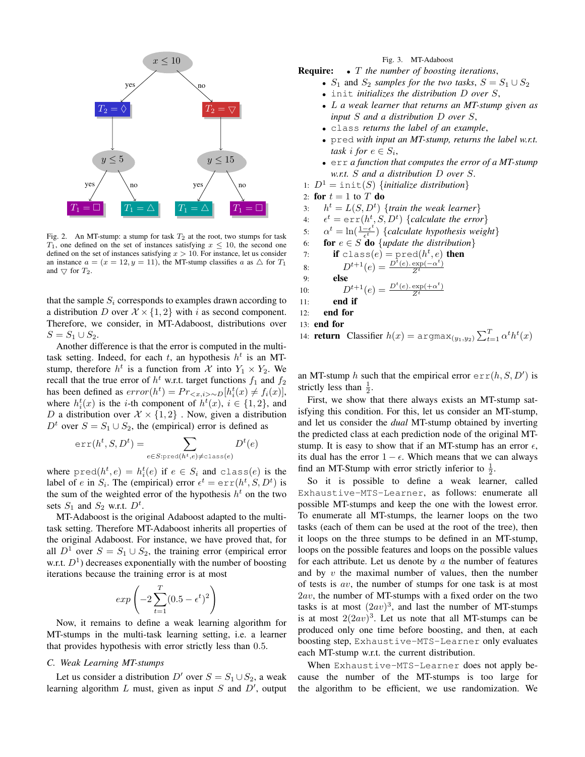

Fig. 2. An MT-stump: a stump for task  $T_2$  at the root, two stumps for task  $T_1$ , one defined on the set of instances satisfying  $x \le 10$ , the second one defined on the set of instances satisfying  $x > 10$ . For instance, let us consider an instance  $a = (x = 12, y = 11)$ , the MT-stump classifies a as  $\triangle$  for  $T_1$ and  $\bigtriangledown$  for  $T_2$ .

that the sample  $S_i$  corresponds to examples drawn according to a distribution D over  $\mathcal{X} \times \{1,2\}$  with i as second component. Therefore, we consider, in MT-Adaboost, distributions over  $S = S_1 \cup S_2$ .

Another difference is that the error is computed in the multitask setting. Indeed, for each  $t$ , an hypothesis  $h<sup>t</sup>$  is an MTstump, therefore  $h^t$  is a function from  $\mathcal{X}$  into  $Y_1 \times Y_2$ . We recall that the true error of  $h^t$  w.r.t. target functions  $f_1$  and  $f_2$ has been defined as  $error(h^t) = Pr_{\langle x,i\rangle \sim D}[h_i^t(x) \neq f_i(x)],$ where  $h_i^t(x)$  is the *i*-th component of  $h^t(x)$ ,  $i \in \{1,2\}$ , and D a distribution over  $\mathcal{X} \times \{1,2\}$ . Now, given a distribution  $D<sup>t</sup>$  over  $S = S_1 \cup S_2$ , the (empirical) error is defined as

$$
\text{err}(h^t, S, D^t) = \sum_{e \in S: \text{pred}(h^t, e) \neq \text{class}(e)} D^t(e)
$$

where  $\text{pred}(h^t, e) = h^t_i(e)$  if  $e \in S_i$  and  $\text{class}(e)$  is the label of e in  $S_i$ . The (empirical) error  $\epsilon^t = \text{err}(h^t, S, D^t)$  is the sum of the weighted error of the hypothesis  $h<sup>t</sup>$  on the two sets  $S_1$  and  $S_2$  w.r.t.  $D^t$ .

MT-Adaboost is the original Adaboost adapted to the multitask setting. Therefore MT-Adaboost inherits all properties of the original Adaboost. For instance, we have proved that, for all  $D^1$  over  $S = S_1 \cup S_2$ , the training error (empirical error w.r.t.  $D<sup>1</sup>$ ) decreases exponentially with the number of boosting iterations because the training error is at most

$$
exp\left(-2\sum_{t=1}^{T}(0.5-\epsilon^t)^2\right)
$$

Now, it remains to define a weak learning algorithm for MT-stumps in the multi-task learning setting, i.e. a learner that provides hypothesis with error strictly less than 0.5.

#### *C. Weak Learning MT-stumps*

Let us consider a distribution  $D'$  over  $S = S_1 \cup S_2$ , a weak learning algorithm  $L$  must, given as input  $S$  and  $D'$ , output

#### Fig. 3. MT-Adaboost

- Require: T *the number of boosting iterations*,
	- $S_1$  and  $S_2$  *samples for the two tasks*,  $S = S_1 \cup S_2$
	- init *initializes the distribution* D *over* S,
	- L *a weak learner that returns an MT-stump given as input* S *and a distribution* D *over* S,
	- class *returns the label of an example*,
	- pred *with input an MT-stump, returns the label w.r.t. task i for*  $e \in S_i$ ,
	- err *a function that computes the error of a MT-stump w.r.t.* S *and a distribution* D *over* S.
- 1:  $D^1 = \text{init}(S)$  {*initialize distribution*}
- 2: for  $t = 1$  to  $T$  do
- 3:  $h^t = L(S, D^t)$  {*train the weak learner*}
- 4:  $t = \text{err}(h^t, S, D^t)$  {*calculate the error*}
- 5:  $\alpha^t = \ln(\frac{1-\epsilon^t}{\epsilon^t})$  $\frac{t-\epsilon^{\epsilon}}{\epsilon^t}$ ) {*calculate hypothesis weight*}
- 6: **for**  $e \in S$  **do** {*update the distribution*}

7: if 
$$
class(e) = pred(h^t, e)
$$
 then

8:  $D^{t+1}(e) = \frac{D^t(e) \cdot \exp(-\alpha^t)}{Z^t}$ <br>
9: **else**<br>
10:  $D^{t+1}(e) = \frac{D^t(e) \cdot \exp(+\alpha^t)}{Z^t}$ 

$$
Q_2 = \bigcup_{i=1}^n
$$

$$
D^{t+1}(e) = \frac{D^t(e) \cdot \exp(+\alpha^t)}{Z^t}
$$

- 11: end if
- 12: end for
- 13: end for
- 14: **return** Classifier  $h(x) = \arg\max_{(y_1, y_2)} \sum_{t=1}^T \alpha^t h^t(x)$

an MT-stump h such that the empirical error  $err(h, S, D')$  is strictly less than  $\frac{1}{2}$ .

First, we show that there always exists an MT-stump satisfying this condition. For this, let us consider an MT-stump, and let us consider the *dual* MT-stump obtained by inverting the predicted class at each prediction node of the original MTstump. It is easy to show that if an MT-stump has an error  $\epsilon$ , its dual has the error  $1 - \epsilon$ . Which means that we can always find an MT-Stump with error strictly inferior to  $\frac{1}{2}$ .

So it is possible to define a weak learner, called Exhaustive-MTS-Learner, as follows: enumerate all possible MT-stumps and keep the one with the lowest error. To enumerate all MT-stumps, the learner loops on the two tasks (each of them can be used at the root of the tree), then it loops on the three stumps to be defined in an MT-stump, loops on the possible features and loops on the possible values for each attribute. Let us denote by  $a$  the number of features and by  $v$  the maximal number of values, then the number of tests is av, the number of stumps for one task is at most  $2av$ , the number of MT-stumps with a fixed order on the two tasks is at most  $(2av)^3$ , and last the number of MT-stumps is at most  $2(2av)^3$ . Let us note that all MT-stumps can be produced only one time before boosting, and then, at each boosting step, Exhaustive-MTS-Learner only evaluates each MT-stump w.r.t. the current distribution.

When Exhaustive-MTS-Learner does not apply because the number of the MT-stumps is too large for the algorithm to be efficient, we use randomization. We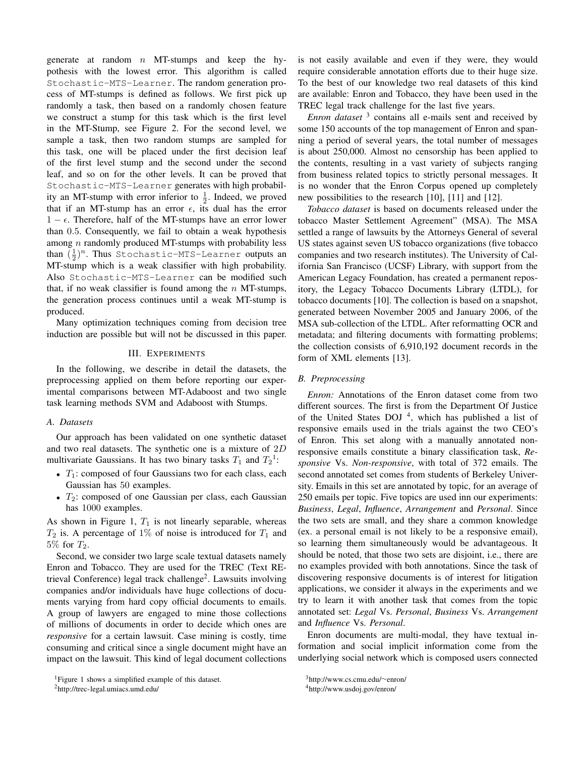generate at random  $n$  MT-stumps and keep the hypothesis with the lowest error. This algorithm is called Stochastic-MTS-Learner. The random generation process of MT-stumps is defined as follows. We first pick up randomly a task, then based on a randomly chosen feature we construct a stump for this task which is the first level in the MT-Stump, see Figure 2. For the second level, we sample a task, then two random stumps are sampled for this task, one will be placed under the first decision leaf of the first level stump and the second under the second leaf, and so on for the other levels. It can be proved that Stochastic-MTS-Learner generates with high probability an MT-stump with error inferior to  $\frac{1}{2}$ . Indeed, we proved that if an MT-stump has an error  $\epsilon$ , its dual has the error  $1 - \epsilon$ . Therefore, half of the MT-stumps have an error lower than 0.5. Consequently, we fail to obtain a weak hypothesis among  $n$  randomly produced MT-stumps with probability less than  $(\frac{1}{2})^n$ . Thus Stochastic-MTS-Learner outputs an MT-stump which is a weak classifier with high probability. Also Stochastic-MTS-Learner can be modified such that, if no weak classifier is found among the  $n$  MT-stumps, the generation process continues until a weak MT-stump is produced.

Many optimization techniques coming from decision tree induction are possible but will not be discussed in this paper.

#### III. EXPERIMENTS

In the following, we describe in detail the datasets, the preprocessing applied on them before reporting our experimental comparisons between MT-Adaboost and two single task learning methods SVM and Adaboost with Stumps.

#### *A. Datasets*

Our approach has been validated on one synthetic dataset and two real datasets. The synthetic one is a mixture of 2D multivariate Gaussians. It has two binary tasks  $T_1$  and  $T_2$ <sup>1</sup>:

- $T_1$ : composed of four Gaussians two for each class, each Gaussian has 50 examples.
- $T_2$ : composed of one Gaussian per class, each Gaussian has 1000 examples.

As shown in Figure 1,  $T_1$  is not linearly separable, whereas  $T_2$  is. A percentage of 1% of noise is introduced for  $T_1$  and  $5\%$  for  $T_2$ .

Second, we consider two large scale textual datasets namely Enron and Tobacco. They are used for the TREC (Text REtrieval Conference) legal track challenge<sup>2</sup>. Lawsuits involving companies and/or individuals have huge collections of documents varying from hard copy official documents to emails. A group of lawyers are engaged to mine those collections of millions of documents in order to decide which ones are *responsive* for a certain lawsuit. Case mining is costly, time consuming and critical since a single document might have an impact on the lawsuit. This kind of legal document collections is not easily available and even if they were, they would require considerable annotation efforts due to their huge size. To the best of our knowledge two real datasets of this kind are available: Enron and Tobacco, they have been used in the TREC legal track challenge for the last five years.

*Enron dataset* <sup>3</sup> contains all e-mails sent and received by some 150 accounts of the top management of Enron and spanning a period of several years, the total number of messages is about 250,000. Almost no censorship has been applied to the contents, resulting in a vast variety of subjects ranging from business related topics to strictly personal messages. It is no wonder that the Enron Corpus opened up completely new possibilities to the research [10], [11] and [12].

*Tobacco dataset* is based on documents released under the tobacco Master Settlement Agreement" (MSA). The MSA settled a range of lawsuits by the Attorneys General of several US states against seven US tobacco organizations (five tobacco companies and two research institutes). The University of California San Francisco (UCSF) Library, with support from the American Legacy Foundation, has created a permanent repository, the Legacy Tobacco Documents Library (LTDL), for tobacco documents [10]. The collection is based on a snapshot, generated between November 2005 and January 2006, of the MSA sub-collection of the LTDL. After reformatting OCR and metadata; and filtering documents with formatting problems; the collection consists of 6,910,192 document records in the form of XML elements [13].

#### *B. Preprocessing*

*Enron:* Annotations of the Enron dataset come from two different sources. The first is from the Department Of Justice of the United States DOJ<sup>4</sup>, which has published a list of responsive emails used in the trials against the two CEO's of Enron. This set along with a manually annotated nonresponsive emails constitute a binary classification task, *Responsive* Vs. *Non-responsive*, with total of 372 emails. The second annotated set comes from students of Berkeley University. Emails in this set are annotated by topic, for an average of 250 emails per topic. Five topics are used inn our experiments: *Business*, *Legal*, *Influence*, *Arrangement* and *Personal*. Since the two sets are small, and they share a common knowledge (ex. a personal email is not likely to be a responsive email), so learning them simultaneously would be advantageous. It should be noted, that those two sets are disjoint, i.e., there are no examples provided with both annotations. Since the task of discovering responsive documents is of interest for litigation applications, we consider it always in the experiments and we try to learn it with another task that comes from the topic annotated set: *Legal* Vs. *Personal*, *Business* Vs. *Arrangement* and *Influence* Vs. *Personal*.

Enron documents are multi-modal, they have textual information and social implicit information come from the underlying social network which is composed users connected

<sup>&</sup>lt;sup>1</sup>Figure 1 shows a simplified example of this dataset.

<sup>2</sup>http://trec-legal.umiacs.umd.edu/

<sup>3</sup>http://www.cs.cmu.edu/∼enron/

<sup>4</sup>http://www.usdoj.gov/enron/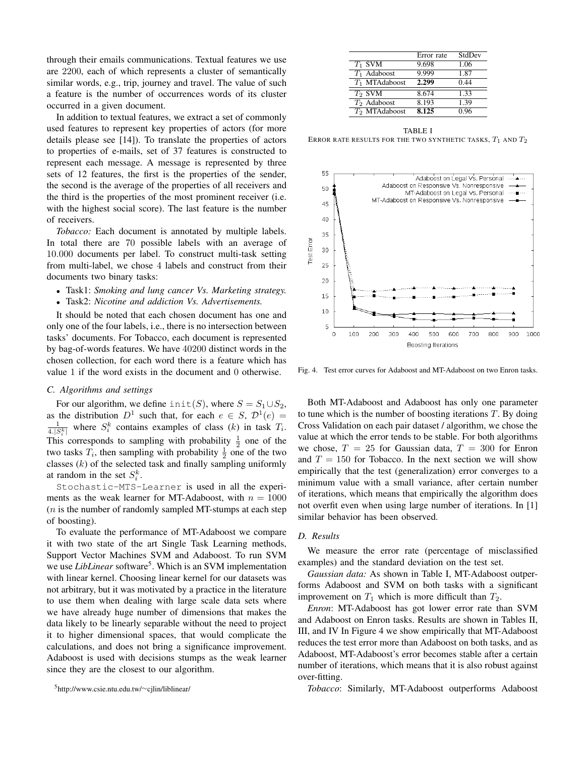through their emails communications. Textual features we use are 2200, each of which represents a cluster of semantically similar words, e.g., trip, journey and travel. The value of such a feature is the number of occurrences words of its cluster occurred in a given document.

In addition to textual features, we extract a set of commonly used features to represent key properties of actors (for more details please see [14]). To translate the properties of actors to properties of e-mails, set of 37 features is constructed to represent each message. A message is represented by three sets of 12 features, the first is the properties of the sender, the second is the average of the properties of all receivers and the third is the properties of the most prominent receiver (i.e. with the highest social score). The last feature is the number of receivers.

*Tobacco:* Each document is annotated by multiple labels. In total there are 70 possible labels with an average of 10.000 documents per label. To construct multi-task setting from multi-label, we chose 4 labels and construct from their documents two binary tasks:

- Task1: *Smoking and lung cancer Vs. Marketing strategy.*
- Task2: *Nicotine and addiction Vs. Advertisements.*

It should be noted that each chosen document has one and only one of the four labels, i.e., there is no intersection between tasks' documents. For Tobacco, each document is represented by bag-of-words features. We have 40200 distinct words in the chosen collection, for each word there is a feature which has value 1 if the word exists in the document and 0 otherwise.

#### *C. Algorithms and settings*

For our algorithm, we define init(S), where  $S = S_1 \cup S_2$ , as the distribution  $D^1$  such that, for each  $e \in S$ ,  $\mathcal{D}^1(e) =$  $\frac{1}{4\sqrt{S_i^k}}$  where  $S_i^k$  contains examples of class  $(k)$  in task  $T_i$ . This corresponds to sampling with probability  $\frac{1}{2}$  one of the two tasks  $T_i$ , then sampling with probability  $\frac{1}{2}$  one of the two classes  $(k)$  of the selected task and finally sampling uniformly at random in the set  $S_i^k$ .

Stochastic-MTS-Learner is used in all the experiments as the weak learner for MT-Adaboost, with  $n = 1000$  $(n$  is the number of randomly sampled MT-stumps at each step of boosting).

To evaluate the performance of MT-Adaboost we compare it with two state of the art Single Task Learning methods, Support Vector Machines SVM and Adaboost. To run SVM we use *LibLinear* software<sup>5</sup>. Which is an SVM implementation with linear kernel. Choosing linear kernel for our datasets was not arbitrary, but it was motivated by a practice in the literature to use them when dealing with large scale data sets where we have already huge number of dimensions that makes the data likely to be linearly separable without the need to project it to higher dimensional spaces, that would complicate the calculations, and does not bring a significance improvement. Adaboost is used with decisions stumps as the weak learner since they are the closest to our algorithm.

|                  | Error rate | StdDev |
|------------------|------------|--------|
| $T_1$ SVM        | 9.698      | 1.06   |
| $T_1$ Adaboost   | 9.999      | 1.87   |
| $T_1$ MTAdaboost | 2.299      | 0.44   |
| $T2$ SVM         | 8.674      | 1.33   |
| $T_2$ Adaboost   | 8.193      | 1.39   |
| $T_2$ MTAdaboost | 8.125      | 0.96   |

TABLE I ERROR RATE RESULTS FOR THE TWO SYNTHETIC TASKS,  $T_1$  and  $T_2$ 



Fig. 4. Test error curves for Adaboost and MT-Adaboost on two Enron tasks.

Both MT-Adaboost and Adaboost has only one parameter to tune which is the number of boosting iterations  $T$ . By doing Cross Validation on each pair dataset / algorithm, we chose the value at which the error tends to be stable. For both algorithms we chose,  $T = 25$  for Gaussian data,  $T = 300$  for Enron and  $T = 150$  for Tobacco. In the next section we will show empirically that the test (generalization) error converges to a minimum value with a small variance, after certain number of iterations, which means that empirically the algorithm does not overfit even when using large number of iterations. In [1] similar behavior has been observed.

#### *D. Results*

We measure the error rate (percentage of misclassified examples) and the standard deviation on the test set.

*Gaussian data:* As shown in Table I, MT-Adaboost outperforms Adaboost and SVM on both tasks with a significant improvement on  $T_1$  which is more difficult than  $T_2$ .

*Enron*: MT-Adaboost has got lower error rate than SVM and Adaboost on Enron tasks. Results are shown in Tables II, III, and IV In Figure 4 we show empirically that MT-Adaboost reduces the test error more than Adaboost on both tasks, and as Adaboost, MT-Adaboost's error becomes stable after a certain number of iterations, which means that it is also robust against over-fitting.

*Tobacco*: Similarly, MT-Adaboost outperforms Adaboost

<sup>5</sup>http://www.csie.ntu.edu.tw/∼cjlin/liblinear/